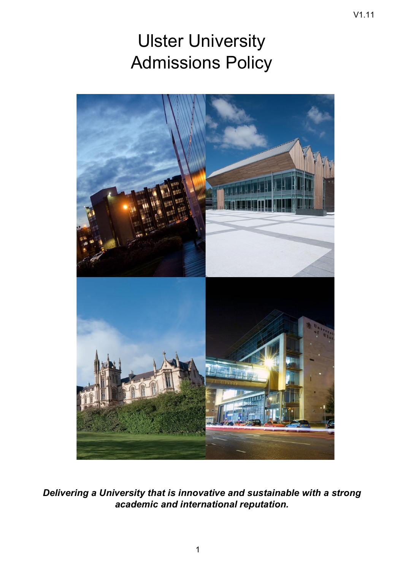V1.11



*Delivering a University that is innovative and sustainable with a strong academic and international reputation.*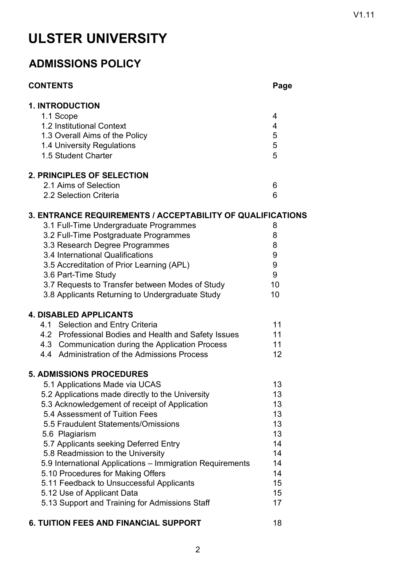## **ULSTER UNIVERSITY**

## **ADMISSIONS POLICY**

| <b>CONTENTS</b>                                                   | Page |
|-------------------------------------------------------------------|------|
| <b>1. INTRODUCTION</b>                                            |      |
| 1.1 Scope                                                         | 4    |
| 1.2 Institutional Context                                         | 4    |
| 1.3 Overall Aims of the Policy                                    | 5    |
| 1.4 University Regulations                                        | 5    |
| 1.5 Student Charter                                               | 5    |
| <b>2. PRINCIPLES OF SELECTION</b>                                 |      |
| 2.1 Aims of Selection                                             | 6    |
| 2.2 Selection Criteria                                            | 6    |
| <b>3. ENTRANCE REQUIREMENTS / ACCEPTABILITY OF QUALIFICATIONS</b> |      |
| 3.1 Full-Time Undergraduate Programmes                            | 8    |
| 3.2 Full-Time Postgraduate Programmes                             | 8    |
| 3.3 Research Degree Programmes                                    | 8    |
| 3.4 International Qualifications                                  | 9    |
| 3.5 Accreditation of Prior Learning (APL)                         | 9    |
| 3.6 Part-Time Study                                               | 9    |
| 3.7 Requests to Transfer between Modes of Study                   | 10   |
| 3.8 Applicants Returning to Undergraduate Study                   | 10   |
| <b>4. DISABLED APPLICANTS</b>                                     |      |
| 4.1 Selection and Entry Criteria                                  | 11   |
| 4.2 Professional Bodies and Health and Safety Issues              | 11   |
| 4.3 Communication during the Application Process                  | 11   |
| 4.4 Administration of the Admissions Process                      | 12   |
| <b>5. ADMISSIONS PROCEDURES</b>                                   |      |
| 5.1 Applications Made via UCAS                                    | 13   |
| 5.2 Applications made directly to the University                  | 13   |
| 5.3 Acknowledgement of receipt of Application                     | 13   |
| 5.4 Assessment of Tuition Fees                                    | 13   |
| 5.5 Fraudulent Statements/Omissions                               | 13   |
| 5.6 Plagiarism                                                    | 13   |
| 5.7 Applicants seeking Deferred Entry                             | 14   |
| 5.8 Readmission to the University                                 | 14   |
| 5.9 International Applications - Immigration Requirements         | 14   |
| 5.10 Procedures for Making Offers                                 | 14   |
| 5.11 Feedback to Unsuccessful Applicants                          | 15   |
| 5.12 Use of Applicant Data                                        | 15   |
| 5.13 Support and Training for Admissions Staff                    | 17   |
| <b>6. TUITION FEES AND FINANCIAL SUPPORT</b>                      | 18   |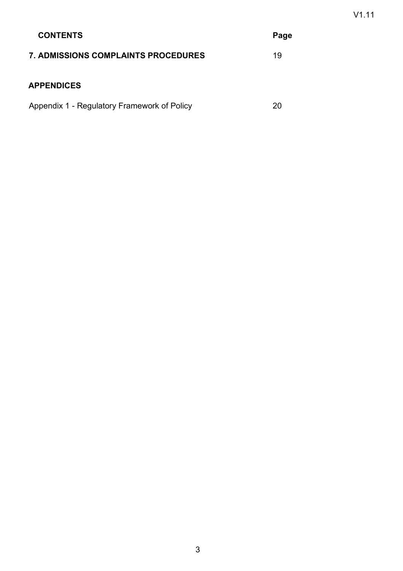| <b>CONTENTS</b>                             | Page |
|---------------------------------------------|------|
| <b>7. ADMISSIONS COMPLAINTS PROCEDURES</b>  | 19   |
| <b>APPENDICES</b>                           |      |
| Appendix 1 - Regulatory Framework of Policy | 20   |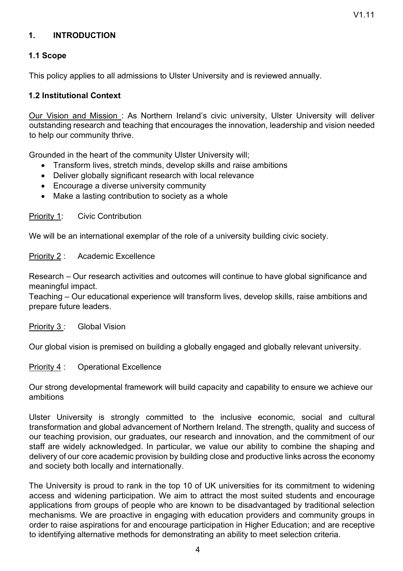## **1. INTRODUCTION**

## **1.1 Scope**

This policy applies to all admissions to Ulster University and is reviewed annually.

#### **1.2 Institutional Context**

Our Vision and Mission : As Northern Ireland's civic university, Ulster University will deliver outstanding research and teaching that encourages the innovation, leadership and vision needed to help our community thrive.

Grounded in the heart of the community Ulster University will;

- Transform lives, stretch minds, develop skills and raise ambitions
- Deliver globally significant research with local relevance
- Encourage a diverse university community
- Make a lasting contribution to society as a whole

Priority 1: Civic Contribution

We will be an international exemplar of the role of a university building civic society.

Priority 2 : Academic Excellence

Research – Our research activities and outcomes will continue to have global significance and meaningful impact.

Teaching – Our educational experience will transform lives, develop skills, raise ambitions and prepare future leaders.

Priority 3 : Global Vision

Our global vision is premised on building a globally engaged and globally relevant university.

Priority 4 : Operational Excellence

Our strong developmental framework will build capacity and capability to ensure we achieve our ambitions

Ulster University is strongly committed to the inclusive economic, social and cultural transformation and global advancement of Northern Ireland. The strength, quality and success of our teaching provision, our graduates, our research and innovation, and the commitment of our staff are widely acknowledged. In particular, we value our ability to combine the shaping and delivery of our core academic provision by building close and productive links across the economy and society both locally and internationally.

The University is proud to rank in the top 10 of UK universities for its commitment to widening access and widening participation. We aim to attract the most suited students and encourage applications from groups of people who are known to be disadvantaged by traditional selection mechanisms. We are proactive in engaging with education providers and community groups in order to raise aspirations for and encourage participation in Higher Education; and are receptive to identifying alternative methods for demonstrating an ability to meet selection criteria.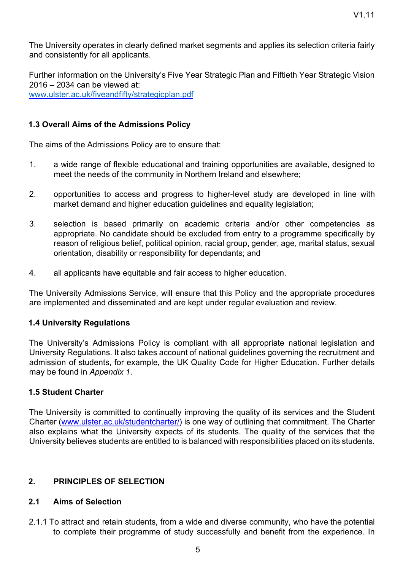The University operates in clearly defined market segments and applies its selection criteria fairly and consistently for all applicants.

Further information on the University's Five Year Strategic Plan and Fiftieth Year Strategic Vision 2016 – 2034 can be viewed at: www.ulster.ac.uk/fiveandfifty/strategicplan.pdf

## **1.3 Overall Aims of the Admissions Policy**

The aims of the Admissions Policy are to ensure that:

- 1. a wide range of flexible educational and training opportunities are available, designed to meet the needs of the community in Northern Ireland and elsewhere;
- 2. opportunities to access and progress to higher-level study are developed in line with market demand and higher education guidelines and equality legislation;
- 3. selection is based primarily on academic criteria and/or other competencies as appropriate. No candidate should be excluded from entry to a programme specifically by reason of religious belief, political opinion, racial group, gender, age, marital status, sexual orientation, disability or responsibility for dependants; and
- 4. all applicants have equitable and fair access to higher education.

The University Admissions Service, will ensure that this Policy and the appropriate procedures are implemented and disseminated and are kept under regular evaluation and review.

#### **1.4 University Regulations**

The University's Admissions Policy is compliant with all appropriate national legislation and University Regulations. It also takes account of national guidelines governing the recruitment and admission of students, for example, the UK Quality Code for Higher Education. Further details may be found in *Appendix 1*.

## **1.5 Student Charter**

The University is committed to continually improving the quality of its services and the Student Charter (www.ulster.ac.uk/studentcharter/) is one way of outlining that commitment. The Charter also explains what the University expects of its students. The quality of the services that the University believes students are entitled to is balanced with responsibilities placed on its students.

## **2. PRINCIPLES OF SELECTION**

## **2.1 Aims of Selection**

2.1.1 To attract and retain students, from a wide and diverse community, who have the potential to complete their programme of study successfully and benefit from the experience. In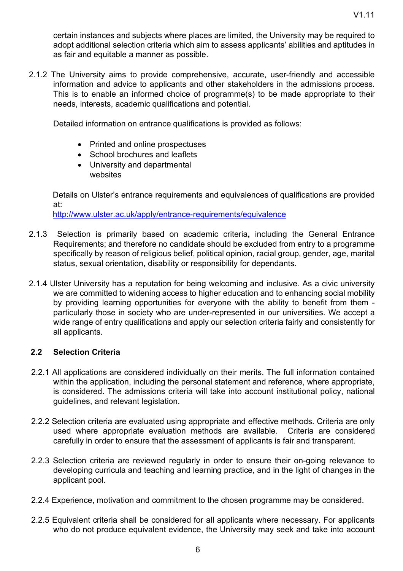certain instances and subjects where places are limited, the University may be required to adopt additional selection criteria which aim to assess applicants' abilities and aptitudes in as fair and equitable a manner as possible.

2.1.2 The University aims to provide comprehensive, accurate, user-friendly and accessible information and advice to applicants and other stakeholders in the admissions process. This is to enable an informed choice of programme(s) to be made appropriate to their needs, interests, academic qualifications and potential.

Detailed information on entrance qualifications is provided as follows:

- Printed and online prospectuses
- School brochures and leaflets
- University and departmental websites

Details on Ulster's entrance requirements and equivalences of qualifications are provided at:

http://www.ulster.ac.uk/apply/entrance-requirements/equivalence

- 2.1.3 Selection is primarily based on academic criteria**,** including the General Entrance Requirements; and therefore no candidate should be excluded from entry to a programme specifically by reason of religious belief, political opinion, racial group, gender, age, marital status, sexual orientation, disability or responsibility for dependants.
- 2.1.4 Ulster University has a reputation for being welcoming and inclusive. As a civic university we are committed to widening access to higher education and to enhancing social mobility by providing learning opportunities for everyone with the ability to benefit from them particularly those in society who are under-represented in our universities. We accept a wide range of entry qualifications and apply our selection criteria fairly and consistently for all applicants.

#### **2.2 Selection Criteria**

- 2.2.1 All applications are considered individually on their merits. The full information contained within the application, including the personal statement and reference, where appropriate, is considered. The admissions criteria will take into account institutional policy, national guidelines, and relevant legislation.
- 2.2.2 Selection criteria are evaluated using appropriate and effective methods. Criteria are only used where appropriate evaluation methods are available. Criteria are considered carefully in order to ensure that the assessment of applicants is fair and transparent.
- 2.2.3 Selection criteria are reviewed regularly in order to ensure their on-going relevance to developing curricula and teaching and learning practice, and in the light of changes in the applicant pool.
- 2.2.4 Experience, motivation and commitment to the chosen programme may be considered.
- 2.2.5 Equivalent criteria shall be considered for all applicants where necessary. For applicants who do not produce equivalent evidence, the University may seek and take into account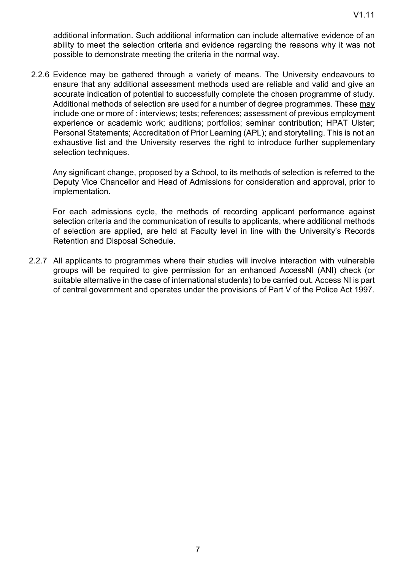additional information. Such additional information can include alternative evidence of an ability to meet the selection criteria and evidence regarding the reasons why it was not possible to demonstrate meeting the criteria in the normal way.

2.2.6 Evidence may be gathered through a variety of means. The University endeavours to ensure that any additional assessment methods used are reliable and valid and give an accurate indication of potential to successfully complete the chosen programme of study. Additional methods of selection are used for a number of degree programmes. These may include one or more of : interviews; tests; references; assessment of previous employment experience or academic work; auditions; portfolios; seminar contribution; HPAT Ulster; Personal Statements; Accreditation of Prior Learning (APL); and storytelling. This is not an exhaustive list and the University reserves the right to introduce further supplementary selection techniques.

Any significant change, proposed by a School, to its methods of selection is referred to the Deputy Vice Chancellor and Head of Admissions for consideration and approval, prior to implementation.

For each admissions cycle, the methods of recording applicant performance against selection criteria and the communication of results to applicants, where additional methods of selection are applied, are held at Faculty level in line with the University's Records Retention and Disposal Schedule.

2.2.7 All applicants to programmes where their studies will involve interaction with vulnerable groups will be required to give permission for an enhanced AccessNI (ANI) check (or suitable alternative in the case of international students) to be carried out. Access NI is part of central government and operates under the provisions of Part V of the Police Act 1997.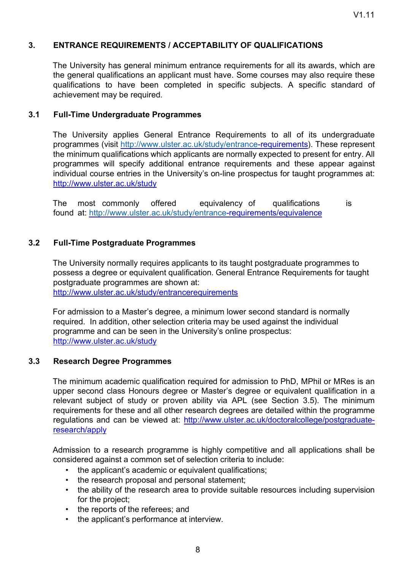## **3. ENTRANCE REQUIREMENTS / ACCEPTABILITY OF QUALIFICATIONS**

The University has general minimum entrance requirements for all its awards, which are the general qualifications an applicant must have. Some courses may also require these qualifications to have been completed in specific subjects. A specific standard of achievement may be required.

#### **3.1 Full-Time Undergraduate Programmes**

The University applies General Entrance Requirements to all of its undergraduate programmes (visit http://www.ulster.ac.uk/study/entrance-requirements). These represent the minimum qualifications which applicants are normally expected to present for entry. All programmes will specify additional entrance requirements and these appear against individual course entries in the University's on-line prospectus for taught programmes at: http://www.ulster.ac.uk/study

The most commonly offered equivalency of qualifications is found at: http://www.ulster.ac.uk/study/entrance-requirements/equivalence

#### **3.2 Full-Time Postgraduate Programmes**

The University normally requires applicants to its taught postgraduate programmes to possess a degree or equivalent qualification. General Entrance Requirements for taught postgraduate programmes are shown at: http://www.ulster.ac.uk/study/entrancerequirements

For admission to a Master's degree, a minimum lower second standard is normally required. In addition, other selection criteria may be used against the individual programme and can be seen in the University's online prospectus: http://www.ulster.ac.uk/study

#### **3.3 Research Degree Programmes**

The minimum academic qualification required for admission to PhD, MPhil or MRes is an upper second class Honours degree or Master's degree or equivalent qualification in a relevant subject of study or proven ability via APL (see Section 3.5). The minimum requirements for these and all other research degrees are detailed within the programme regulations and can be viewed at: http://www.ulster.ac.uk/doctoralcollege/postgraduateresearch/apply

Admission to a research programme is highly competitive and all applications shall be considered against a common set of selection criteria to include:

- the applicant's academic or equivalent qualifications;
- the research proposal and personal statement;
- the ability of the research area to provide suitable resources including supervision for the project;
- the reports of the referees; and
- the applicant's performance at interview.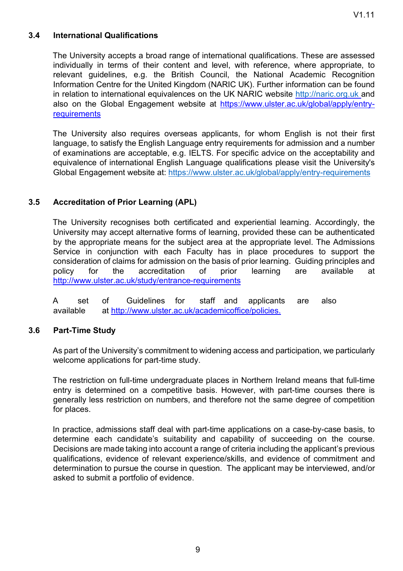## **3.4 International Qualifications**

The University accepts a broad range of international qualifications. These are assessed individually in terms of their content and level, with reference, where appropriate, to relevant guidelines, e.g. the British Council, the National Academic Recognition Information Centre for the United Kingdom (NARIC UK). Further information can be found in relation to international equivalences on the UK NARIC website http://naric.org.uk and also on the Global Engagement website at https://www.ulster.ac.uk/global/apply/entryrequirements

The University also requires overseas applicants, for whom English is not their first language, to satisfy the English Language entry requirements for admission and a number of examinations are acceptable, e.g. IELTS. For specific advice on the acceptability and equivalence of international English Language qualifications please visit the University's Global Engagement website at: https://www.ulster.ac.uk/global/apply/entry-requirements

## **3.5 Accreditation of Prior Learning (APL)**

The University recognises both certificated and experiential learning. Accordingly, the University may accept alternative forms of learning, provided these can be authenticated by the appropriate means for the subject area at the appropriate level. The Admissions Service in conjunction with each Faculty has in place procedures to support the consideration of claims for admission on the basis of prior learning. Guiding principles and policy for the accreditation of prior learning are available at http://www.ulster.ac.uk/study/entrance-requirements

A set of Guidelines for staff and applicants are also available at http://www.ulster.ac.uk/academicoffice/policies.

#### **3.6 Part-Time Study**

As part of the University's commitment to widening access and participation, we particularly welcome applications for part-time study.

The restriction on full-time undergraduate places in Northern Ireland means that full-time entry is determined on a competitive basis. However, with part-time courses there is generally less restriction on numbers, and therefore not the same degree of competition for places.

In practice, admissions staff deal with part-time applications on a case-by-case basis, to determine each candidate's suitability and capability of succeeding on the course. Decisions are made taking into account a range of criteria including the applicant's previous qualifications, evidence of relevant experience/skills, and evidence of commitment and determination to pursue the course in question. The applicant may be interviewed, and/or asked to submit a portfolio of evidence.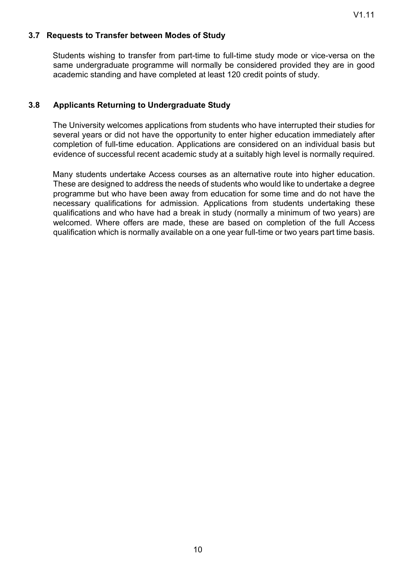#### **3.7 Requests to Transfer between Modes of Study**

Students wishing to transfer from part-time to full-time study mode or vice-versa on the same undergraduate programme will normally be considered provided they are in good academic standing and have completed at least 120 credit points of study.

#### **3.8 Applicants Returning to Undergraduate Study**

The University welcomes applications from students who have interrupted their studies for several years or did not have the opportunity to enter higher education immediately after completion of full-time education. Applications are considered on an individual basis but evidence of successful recent academic study at a suitably high level is normally required.

Many students undertake Access courses as an alternative route into higher education. These are designed to address the needs of students who would like to undertake a degree programme but who have been away from education for some time and do not have the necessary qualifications for admission. Applications from students undertaking these qualifications and who have had a break in study (normally a minimum of two years) are welcomed. Where offers are made, these are based on completion of the full Access qualification which is normally available on a one year full-time or two years part time basis.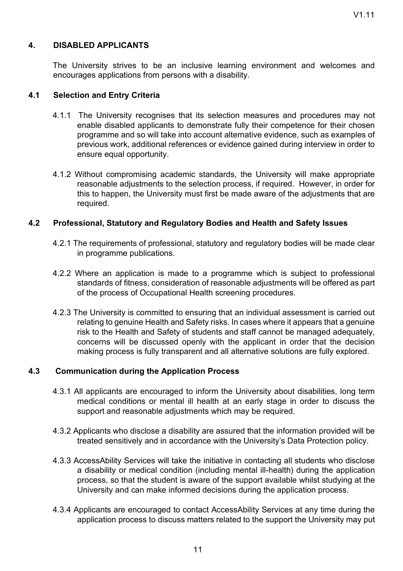## **4. DISABLED APPLICANTS**

The University strives to be an inclusive learning environment and welcomes and encourages applications from persons with a disability.

#### **4.1 Selection and Entry Criteria**

- 4.1.1 The University recognises that its selection measures and procedures may not enable disabled applicants to demonstrate fully their competence for their chosen programme and so will take into account alternative evidence, such as examples of previous work, additional references or evidence gained during interview in order to ensure equal opportunity.
- 4.1.2 Without compromising academic standards, the University will make appropriate reasonable adjustments to the selection process, if required. However, in order for this to happen, the University must first be made aware of the adjustments that are required.

#### **4.2 Professional, Statutory and Regulatory Bodies and Health and Safety Issues**

- 4.2.1 The requirements of professional, statutory and regulatory bodies will be made clear in programme publications.
- 4.2.2 Where an application is made to a programme which is subject to professional standards of fitness, consideration of reasonable adjustments will be offered as part of the process of Occupational Health screening procedures.
- 4.2.3 The University is committed to ensuring that an individual assessment is carried out relating to genuine Health and Safety risks. In cases where it appears that a genuine risk to the Health and Safety of students and staff cannot be managed adequately, concerns will be discussed openly with the applicant in order that the decision making process is fully transparent and all alternative solutions are fully explored.

#### **4.3 Communication during the Application Process**

- 4.3.1 All applicants are encouraged to inform the University about disabilities, long term medical conditions or mental ill health at an early stage in order to discuss the support and reasonable adjustments which may be required.
- 4.3.2 Applicants who disclose a disability are assured that the information provided will be treated sensitively and in accordance with the University's Data Protection policy.
- 4.3.3 AccessAbility Services will take the initiative in contacting all students who disclose a disability or medical condition (including mental ill-health) during the application process, so that the student is aware of the support available whilst studying at the University and can make informed decisions during the application process.
- 4.3.4 Applicants are encouraged to contact AccessAbility Services at any time during the application process to discuss matters related to the support the University may put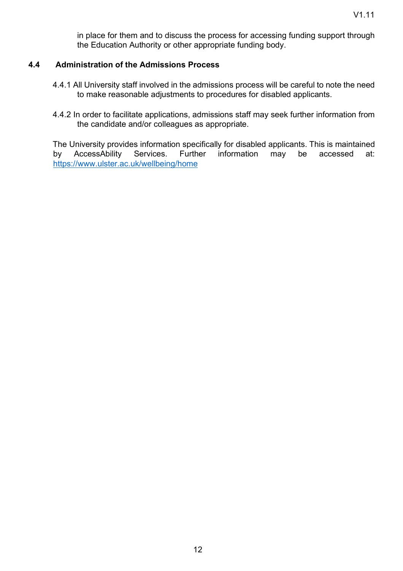in place for them and to discuss the process for accessing funding support through the Education Authority or other appropriate funding body.

## **4.4 Administration of the Admissions Process**

- 4.4.1 All University staff involved in the admissions process will be careful to note the need to make reasonable adjustments to procedures for disabled applicants.
- 4.4.2 In order to facilitate applications, admissions staff may seek further information from the candidate and/or colleagues as appropriate.

The University provides information specifically for disabled applicants. This is maintained by AccessAbility Services. Further information may be accessed at: https://www.ulster.ac.uk/wellbeing/home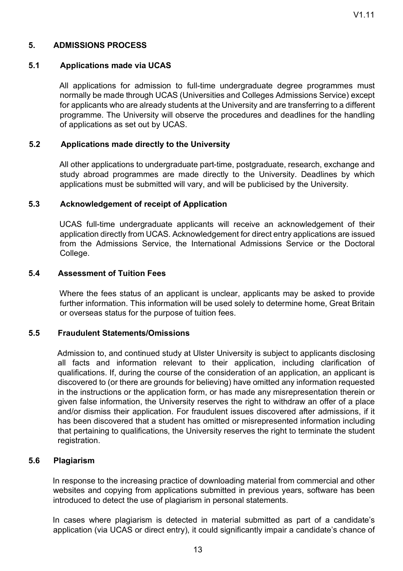## **5. ADMISSIONS PROCESS**

#### **5.1 Applications made via UCAS**

All applications for admission to full-time undergraduate degree programmes must normally be made through UCAS (Universities and Colleges Admissions Service) except for applicants who are already students at the University and are transferring to a different programme. The University will observe the procedures and deadlines for the handling of applications as set out by UCAS.

#### **5.2 Applications made directly to the University**

All other applications to undergraduate part-time, postgraduate, research, exchange and study abroad programmes are made directly to the University. Deadlines by which applications must be submitted will vary, and will be publicised by the University.

#### **5.3 Acknowledgement of receipt of Application**

UCAS full-time undergraduate applicants will receive an acknowledgement of their application directly from UCAS. Acknowledgement for direct entry applications are issued from the Admissions Service, the International Admissions Service or the Doctoral College.

#### **5.4 Assessment of Tuition Fees**

Where the fees status of an applicant is unclear, applicants may be asked to provide further information. This information will be used solely to determine home, Great Britain or overseas status for the purpose of tuition fees.

#### **5.5 Fraudulent Statements/Omissions**

Admission to, and continued study at Ulster University is subject to applicants disclosing all facts and information relevant to their application, including clarification of qualifications. If, during the course of the consideration of an application, an applicant is discovered to (or there are grounds for believing) have omitted any information requested in the instructions or the application form, or has made any misrepresentation therein or given false information, the University reserves the right to withdraw an offer of a place and/or dismiss their application. For fraudulent issues discovered after admissions, if it has been discovered that a student has omitted or misrepresented information including that pertaining to qualifications, the University reserves the right to terminate the student registration.

#### **5.6 Plagiarism**

In response to the increasing practice of downloading material from commercial and other websites and copying from applications submitted in previous years, software has been introduced to detect the use of plagiarism in personal statements.

In cases where plagiarism is detected in material submitted as part of a candidate's application (via UCAS or direct entry), it could significantly impair a candidate's chance of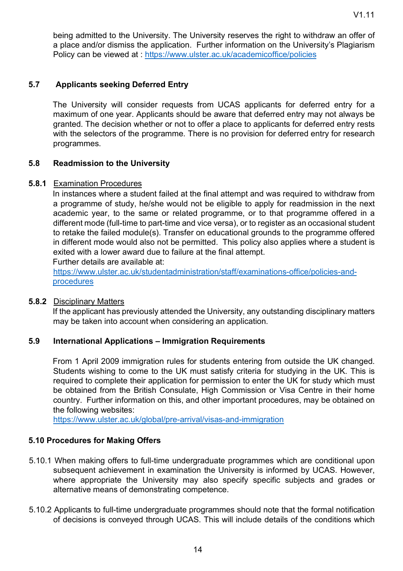being admitted to the University. The University reserves the right to withdraw an offer of a place and/or dismiss the application. Further information on the University's Plagiarism Policy can be viewed at : https://www.ulster.ac.uk/academicoffice/policies

## **5.7 Applicants seeking Deferred Entry**

The University will consider requests from UCAS applicants for deferred entry for a maximum of one year. Applicants should be aware that deferred entry may not always be granted. The decision whether or not to offer a place to applicants for deferred entry rests with the selectors of the programme. There is no provision for deferred entry for research programmes.

## **5.8 Readmission to the University**

## **5.8.1** Examination Procedures

In instances where a student failed at the final attempt and was required to withdraw from a programme of study, he/she would not be eligible to apply for readmission in the next academic year, to the same or related programme, or to that programme offered in a different mode (full-time to part-time and vice versa), or to register as an occasional student to retake the failed module(s). Transfer on educational grounds to the programme offered in different mode would also not be permitted. This policy also applies where a student is exited with a lower award due to failure at the final attempt.

Further details are available at:

https://www.ulster.ac.uk/studentadministration/staff/examinations-office/policies-andprocedures

#### **5.8.2** Disciplinary Matters

If the applicant has previously attended the University, any outstanding disciplinary matters may be taken into account when considering an application.

## **5.9 International Applications – Immigration Requirements**

From 1 April 2009 immigration rules for students entering from outside the UK changed. Students wishing to come to the UK must satisfy criteria for studying in the UK. This is required to complete their application for permission to enter the UK for study which must be obtained from the British Consulate, High Commission or Visa Centre in their home country. Further information on this, and other important procedures, may be obtained on the following websites:

https://www.ulster.ac.uk/global/pre-arrival/visas-and-immigration

## **5.10 Procedures for Making Offers**

- 5.10.1 When making offers to full-time undergraduate programmes which are conditional upon subsequent achievement in examination the University is informed by UCAS. However, where appropriate the University may also specify specific subjects and grades or alternative means of demonstrating competence.
- 5.10.2 Applicants to full-time undergraduate programmes should note that the formal notification of decisions is conveyed through UCAS. This will include details of the conditions which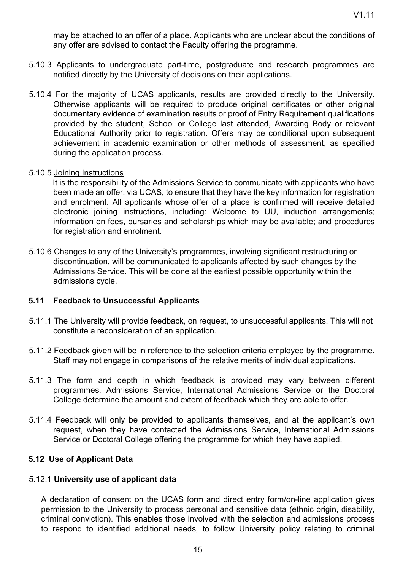may be attached to an offer of a place. Applicants who are unclear about the conditions of any offer are advised to contact the Faculty offering the programme.

- 5.10.3 Applicants to undergraduate part-time, postgraduate and research programmes are notified directly by the University of decisions on their applications.
- 5.10.4 For the majority of UCAS applicants, results are provided directly to the University. Otherwise applicants will be required to produce original certificates or other original documentary evidence of examination results or proof of Entry Requirement qualifications provided by the student, School or College last attended, Awarding Body or relevant Educational Authority prior to registration. Offers may be conditional upon subsequent achievement in academic examination or other methods of assessment, as specified during the application process.

#### 5.10.5 Joining Instructions

It is the responsibility of the Admissions Service to communicate with applicants who have been made an offer, via UCAS, to ensure that they have the key information for registration and enrolment. All applicants whose offer of a place is confirmed will receive detailed electronic joining instructions, including: Welcome to UU, induction arrangements; information on fees, bursaries and scholarships which may be available; and procedures for registration and enrolment.

5.10.6 Changes to any of the University's programmes, involving significant restructuring or discontinuation, will be communicated to applicants affected by such changes by the Admissions Service. This will be done at the earliest possible opportunity within the admissions cycle.

#### **5.11 Feedback to Unsuccessful Applicants**

- 5.11.1 The University will provide feedback, on request, to unsuccessful applicants. This will not constitute a reconsideration of an application.
- 5.11.2 Feedback given will be in reference to the selection criteria employed by the programme. Staff may not engage in comparisons of the relative merits of individual applications.
- 5.11.3 The form and depth in which feedback is provided may vary between different programmes. Admissions Service, International Admissions Service or the Doctoral College determine the amount and extent of feedback which they are able to offer.
- 5.11.4 Feedback will only be provided to applicants themselves, and at the applicant's own request, when they have contacted the Admissions Service, International Admissions Service or Doctoral College offering the programme for which they have applied.

#### **5.12 Use of Applicant Data**

#### 5.12.1 **University use of applicant data**

A declaration of consent on the UCAS form and direct entry form/on-line application gives permission to the University to process personal and sensitive data (ethnic origin, disability, criminal conviction). This enables those involved with the selection and admissions process to respond to identified additional needs, to follow University policy relating to criminal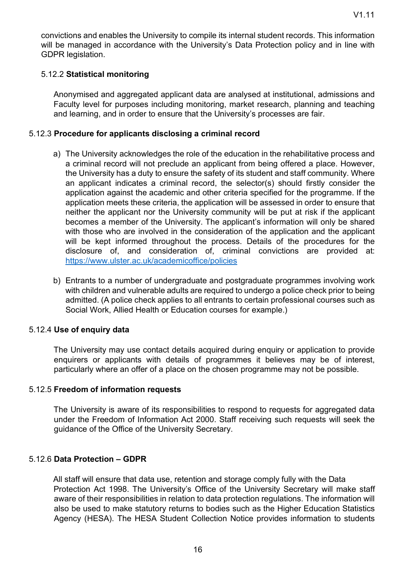convictions and enables the University to compile its internal student records. This information will be managed in accordance with the University's Data Protection policy and in line with GDPR legislation.

## 5.12.2 **Statistical monitoring**

Anonymised and aggregated applicant data are analysed at institutional, admissions and Faculty level for purposes including monitoring, market research, planning and teaching and learning, and in order to ensure that the University's processes are fair.

#### 5.12.3 **Procedure for applicants disclosing a criminal record**

- a) The University acknowledges the role of the education in the rehabilitative process and a criminal record will not preclude an applicant from being offered a place. However, the University has a duty to ensure the safety of its student and staff community. Where an applicant indicates a criminal record, the selector(s) should firstly consider the application against the academic and other criteria specified for the programme. If the application meets these criteria, the application will be assessed in order to ensure that neither the applicant nor the University community will be put at risk if the applicant becomes a member of the University. The applicant's information will only be shared with those who are involved in the consideration of the application and the applicant will be kept informed throughout the process. Details of the procedures for the disclosure of, and consideration of, criminal convictions are provided at: https://www.ulster.ac.uk/academicoffice/policies
- b) Entrants to a number of undergraduate and postgraduate programmes involving work with children and vulnerable adults are required to undergo a police check prior to being admitted. (A police check applies to all entrants to certain professional courses such as Social Work, Allied Health or Education courses for example.)

#### 5.12.4 **Use of enquiry data**

The University may use contact details acquired during enquiry or application to provide enquirers or applicants with details of programmes it believes may be of interest, particularly where an offer of a place on the chosen programme may not be possible.

#### 5.12.5 **Freedom of information requests**

The University is aware of its responsibilities to respond to requests for aggregated data under the Freedom of Information Act 2000. Staff receiving such requests will seek the guidance of the Office of the University Secretary.

## 5.12.6 **Data Protection – GDPR**

All staff will ensure that data use, retention and storage comply fully with the Data Protection Act 1998. The University's Office of the University Secretary will make staff aware of their responsibilities in relation to data protection regulations. The information will also be used to make statutory returns to bodies such as the Higher Education Statistics Agency (HESA). The HESA Student Collection Notice provides information to students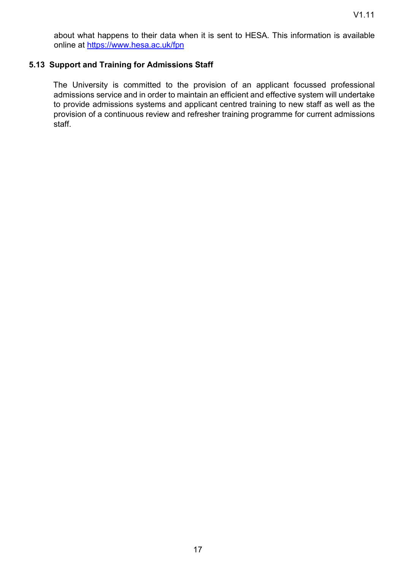about what happens to their data when it is sent to HESA. This information is available online at https://www.hesa.ac.uk/fpn

## **5.13 Support and Training for Admissions Staff**

The University is committed to the provision of an applicant focussed professional admissions service and in order to maintain an efficient and effective system will undertake to provide admissions systems and applicant centred training to new staff as well as the provision of a continuous review and refresher training programme for current admissions staff.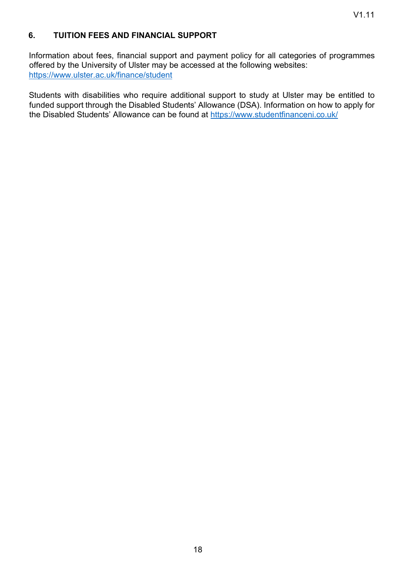## **6. TUITION FEES AND FINANCIAL SUPPORT**

Information about fees, financial support and payment policy for all categories of programmes offered by the University of Ulster may be accessed at the following websites: https://www.ulster.ac.uk/finance/student

Students with disabilities who require additional support to study at Ulster may be entitled to funded support through the Disabled Students' Allowance (DSA). Information on how to apply for the Disabled Students' Allowance can be found at https://www.studentfinanceni.co.uk/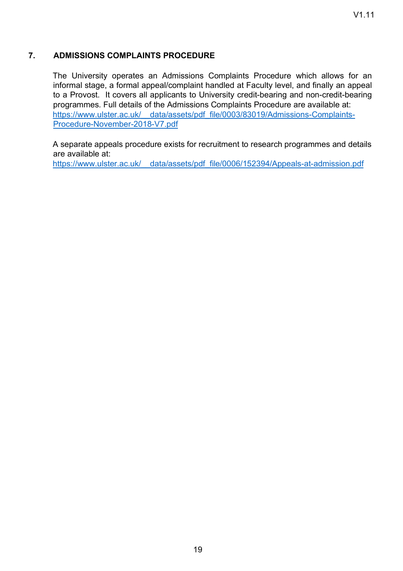## **7. ADMISSIONS COMPLAINTS PROCEDURE**

The University operates an Admissions Complaints Procedure which allows for an informal stage, a formal appeal/complaint handled at Faculty level, and finally an appeal to a Provost. It covers all applicants to University credit-bearing and non-credit-bearing programmes. Full details of the Admissions Complaints Procedure are available at: https://www.ulster.ac.uk/ data/assets/pdf file/0003/83019/Admissions-Complaints-Procedure-November-2018-V7.pdf

A separate appeals procedure exists for recruitment to research programmes and details are available at:

https://www.ulster.ac.uk/\_\_data/assets/pdf\_file/0006/152394/Appeals-at-admission.pdf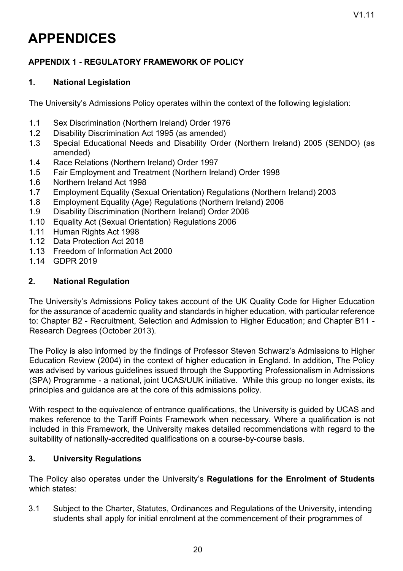# **APPENDICES**

## **APPENDIX 1 - REGULATORY FRAMEWORK OF POLICY**

## **1. National Legislation**

The University's Admissions Policy operates within the context of the following legislation:

- 1.1 Sex Discrimination (Northern Ireland) Order 1976
- 1.2 Disability Discrimination Act 1995 (as amended)
- 1.3 Special Educational Needs and Disability Order (Northern Ireland) 2005 (SENDO) (as amended)
- 1.4 Race Relations (Northern Ireland) Order 1997
- 1.5 Fair Employment and Treatment (Northern Ireland) Order 1998
- 1.6 Northern Ireland Act 1998
- 1.7 Employment Equality (Sexual Orientation) Regulations (Northern Ireland) 2003
- 1.8 Employment Equality (Age) Regulations (Northern Ireland) 2006
- 1.9 Disability Discrimination (Northern Ireland) Order 2006
- 1.10 Equality Act (Sexual Orientation) Regulations 2006
- 1.11 Human Rights Act 1998
- 1.12 Data Protection Act 2018
- 1.13 Freedom of Information Act 2000
- 1.14 GDPR 2019

## **2. National Regulation**

The University's Admissions Policy takes account of the UK Quality Code for Higher Education for the assurance of academic quality and standards in higher education, with particular reference to: Chapter B2 - Recruitment, Selection and Admission to Higher Education; and Chapter B11 - Research Degrees (October 2013)*.* 

The Policy is also informed by the findings of Professor Steven Schwarz's Admissions to Higher Education Review (2004) in the context of higher education in England. In addition, The Policy was advised by various guidelines issued through the Supporting Professionalism in Admissions (SPA) Programme - a national, joint UCAS/UUK initiative. While this group no longer exists, its principles and guidance are at the core of this admissions policy.

With respect to the equivalence of entrance qualifications, the University is guided by UCAS and makes reference to the Tariff Points Framework when necessary. Where a qualification is not included in this Framework, the University makes detailed recommendations with regard to the suitability of nationally-accredited qualifications on a course-by-course basis.

## **3. University Regulations**

The Policy also operates under the University's **Regulations for the Enrolment of Students** which states:

3.1 Subject to the Charter, Statutes, Ordinances and Regulations of the University, intending students shall apply for initial enrolment at the commencement of their programmes of